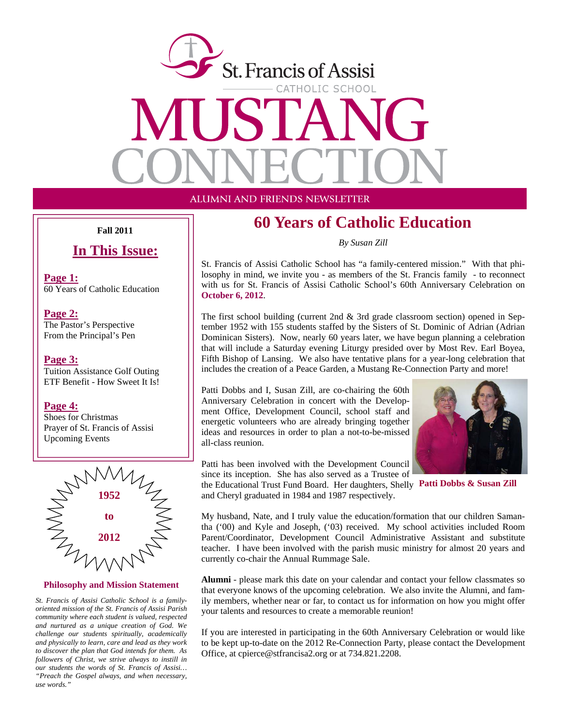

**ALUMNI AND FRIENDS NEWSLETTER** 

# **Fall 2011 60 Years of Catholic Education**

## **In This Issue:**

**Page 1:** 60 Years of Catholic Education

### **Page 2:**

The Pastor's Perspective From the Principal's Pen

#### **Page 3:**

Tuition Assistance Golf Outing ETF Benefit - How Sweet It Is!

#### **Page 4:**

Shoes for Christmas Prayer of St. Francis of Assisi Upcoming Events



#### **Philosophy and Mission Statement**

*St. Francis of Assisi Catholic School is a familyoriented mission of the St. Francis of Assisi Parish community where each student is valued, respected and nurtured as a unique creation of God. We challenge our students spiritually, academically and physically to learn, care and lead as they work to discover the plan that God intends for them. As followers of Christ, we strive always to instill in our students the words of St. Francis of Assisi… "Preach the Gospel always, and when necessary, use words."* 

# *By Susan Zill*

St. Francis of Assisi Catholic School has "a family-centered mission." With that philosophy in mind, we invite you - as members of the St. Francis family - to reconnect with us for St. Francis of Assisi Catholic School's 60th Anniversary Celebration on **October 6, 2012**.

The first school building (current 2nd  $\&$  3rd grade classroom section) opened in September 1952 with 155 students staffed by the Sisters of St. Dominic of Adrian (Adrian Dominican Sisters). Now, nearly 60 years later, we have begun planning a celebration that will include a Saturday evening Liturgy presided over by Most Rev. Earl Boyea, Fifth Bishop of Lansing. We also have tentative plans for a year-long celebration that includes the creation of a Peace Garden, a Mustang Re-Connection Party and more!

Patti Dobbs and I, Susan Zill, are co-chairing the 60th Anniversary Celebration in concert with the Development Office, Development Council, school staff and energetic volunteers who are already bringing together ideas and resources in order to plan a not-to-be-missed all-class reunion.



Patti has been involved with the Development Council since its inception. She has also served as a Trustee of

the Educational Trust Fund Board. Her daughters, Shelly **Patti Dobbs & Susan Zill**  and Cheryl graduated in 1984 and 1987 respectively.

My husband, Nate, and I truly value the education/formation that our children Samantha ('00) and Kyle and Joseph, ('03) received. My school activities included Room Parent/Coordinator, Development Council Administrative Assistant and substitute teacher. I have been involved with the parish music ministry for almost 20 years and currently co-chair the Annual Rummage Sale.

**Alumni** - please mark this date on your calendar and contact your fellow classmates so that everyone knows of the upcoming celebration. We also invite the Alumni, and family members, whether near or far, to contact us for information on how you might offer your talents and resources to create a memorable reunion!

If you are interested in participating in the 60th Anniversary Celebration or would like to be kept up-to-date on the 2012 Re-Connection Party, please contact the Development Office, at cpierce@stfrancisa2.org or at 734.821.2208.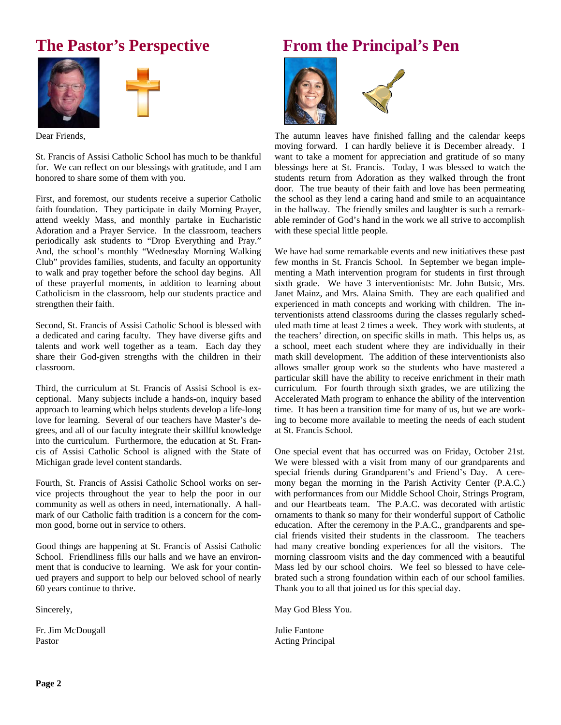# **The Pastor's Perspective**





Dear Friends,

St. Francis of Assisi Catholic School has much to be thankful for. We can reflect on our blessings with gratitude, and I am honored to share some of them with you.

First, and foremost, our students receive a superior Catholic faith foundation. They participate in daily Morning Prayer, attend weekly Mass, and monthly partake in Eucharistic Adoration and a Prayer Service. In the classroom, teachers periodically ask students to "Drop Everything and Pray." And, the school's monthly "Wednesday Morning Walking Club" provides families, students, and faculty an opportunity to walk and pray together before the school day begins. All of these prayerful moments, in addition to learning about Catholicism in the classroom, help our students practice and strengthen their faith.

Second, St. Francis of Assisi Catholic School is blessed with a dedicated and caring faculty. They have diverse gifts and talents and work well together as a team. Each day they share their God-given strengths with the children in their classroom.

Third, the curriculum at St. Francis of Assisi School is exceptional. Many subjects include a hands-on, inquiry based approach to learning which helps students develop a life-long love for learning. Several of our teachers have Master's degrees, and all of our faculty integrate their skillful knowledge into the curriculum. Furthermore, the education at St. Francis of Assisi Catholic School is aligned with the State of Michigan grade level content standards.

Fourth, St. Francis of Assisi Catholic School works on service projects throughout the year to help the poor in our community as well as others in need, internationally. A hallmark of our Catholic faith tradition is a concern for the common good, borne out in service to others.

Good things are happening at St. Francis of Assisi Catholic School. Friendliness fills our halls and we have an environment that is conducive to learning. We ask for your continued prayers and support to help our beloved school of nearly 60 years continue to thrive.

Sincerely,

Fr. Jim McDougall Pastor

# **From the Principal's Pen**



The autumn leaves have finished falling and the calendar keeps moving forward. I can hardly believe it is December already. I want to take a moment for appreciation and gratitude of so many blessings here at St. Francis. Today, I was blessed to watch the students return from Adoration as they walked through the front door. The true beauty of their faith and love has been permeating the school as they lend a caring hand and smile to an acquaintance in the hallway. The friendly smiles and laughter is such a remarkable reminder of God's hand in the work we all strive to accomplish with these special little people.

We have had some remarkable events and new initiatives these past few months in St. Francis School. In September we began implementing a Math intervention program for students in first through sixth grade. We have 3 interventionists: Mr. John Butsic, Mrs. Janet Mainz, and Mrs. Alaina Smith. They are each qualified and experienced in math concepts and working with children. The interventionists attend classrooms during the classes regularly scheduled math time at least 2 times a week. They work with students, at the teachers' direction, on specific skills in math. This helps us, as a school, meet each student where they are individually in their math skill development. The addition of these interventionists also allows smaller group work so the students who have mastered a particular skill have the ability to receive enrichment in their math curriculum. For fourth through sixth grades, we are utilizing the Accelerated Math program to enhance the ability of the intervention time. It has been a transition time for many of us, but we are working to become more available to meeting the needs of each student at St. Francis School.

One special event that has occurred was on Friday, October 21st. We were blessed with a visit from many of our grandparents and special friends during Grandparent's and Friend's Day. A ceremony began the morning in the Parish Activity Center (P.A.C.) with performances from our Middle School Choir, Strings Program, and our Heartbeats team. The P.A.C. was decorated with artistic ornaments to thank so many for their wonderful support of Catholic education. After the ceremony in the P.A.C., grandparents and special friends visited their students in the classroom. The teachers had many creative bonding experiences for all the visitors. The morning classroom visits and the day commenced with a beautiful Mass led by our school choirs. We feel so blessed to have celebrated such a strong foundation within each of our school families. Thank you to all that joined us for this special day.

May God Bless You.

Julie Fantone Acting Principal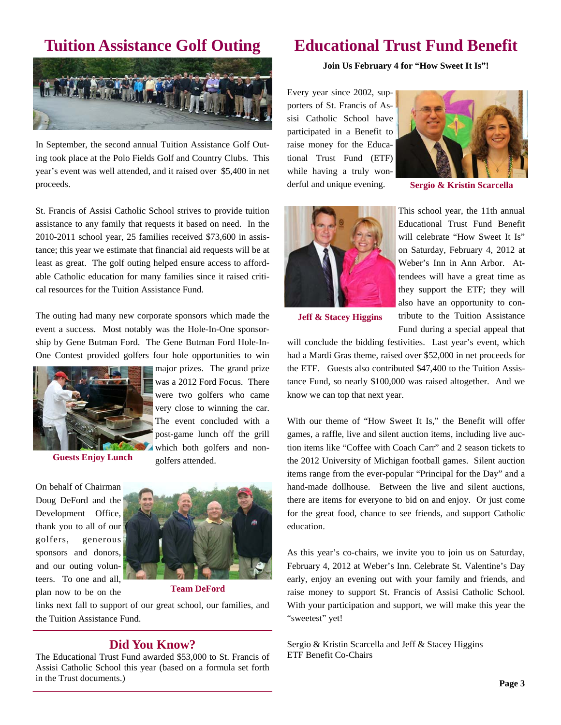

In September, the second annual Tuition Assistance Golf Outing took place at the Polo Fields Golf and Country Clubs. This year's event was well attended, and it raised over \$5,400 in net proceeds.

St. Francis of Assisi Catholic School strives to provide tuition assistance to any family that requests it based on need. In the 2010-2011 school year, 25 families received \$73,600 in assistance; this year we estimate that financial aid requests will be at least as great. The golf outing helped ensure access to affordable Catholic education for many families since it raised critical resources for the Tuition Assistance Fund.

The outing had many new corporate sponsors which made the event a success. Most notably was the Hole-In-One sponsorship by Gene Butman Ford. The Gene Butman Ford Hole-In-One Contest provided golfers four hole opportunities to win



**Guests Enjoy Lunch** 

On behalf of Chairman Doug DeFord and the Development Office, thank you to all of our golfers, generous sponsors and donors, and our outing volunteers. To one and all, plan now to be on the



golfers attended.

**Team DeFord** 

links next fall to support of our great school, our families, and the Tuition Assistance Fund.

## **Did You Know?**

The Educational Trust Fund awarded \$53,000 to St. Francis of Assisi Catholic School this year (based on a formula set forth in the Trust documents.)

# **Tuition Assistance Golf Outing Educational Trust Fund Benefit**

**Join Us February 4 for "How Sweet It Is"!** 

Every year since 2002, supporters of St. Francis of Assisi Catholic School have participated in a Benefit to raise money for the Educational Trust Fund (ETF) while having a truly wonderful and unique evening.



**Sergio & Kristin Scarcella** 



This school year, the 11th annual Educational Trust Fund Benefit will celebrate "How Sweet It Is" on Saturday, February 4, 2012 at Weber's Inn in Ann Arbor. Attendees will have a great time as they support the ETF; they will also have an opportunity to contribute to the Tuition Assistance Fund during a special appeal that

**Jeff & Stacey Higgins** 

will conclude the bidding festivities. Last year's event, which had a Mardi Gras theme, raised over \$52,000 in net proceeds for the ETF. Guests also contributed \$47,400 to the Tuition Assistance Fund, so nearly \$100,000 was raised altogether. And we know we can top that next year.

With our theme of "How Sweet It Is," the Benefit will offer games, a raffle, live and silent auction items, including live auction items like "Coffee with Coach Carr" and 2 season tickets to the 2012 University of Michigan football games. Silent auction items range from the ever-popular "Principal for the Day" and a hand-made dollhouse. Between the live and silent auctions, there are items for everyone to bid on and enjoy. Or just come for the great food, chance to see friends, and support Catholic education.

As this year's co-chairs, we invite you to join us on Saturday, February 4, 2012 at Weber's Inn. Celebrate St. Valentine's Day early, enjoy an evening out with your family and friends, and raise money to support St. Francis of Assisi Catholic School. With your participation and support, we will make this year the "sweetest" yet!

Sergio & Kristin Scarcella and Jeff & Stacey Higgins ETF Benefit Co-Chairs